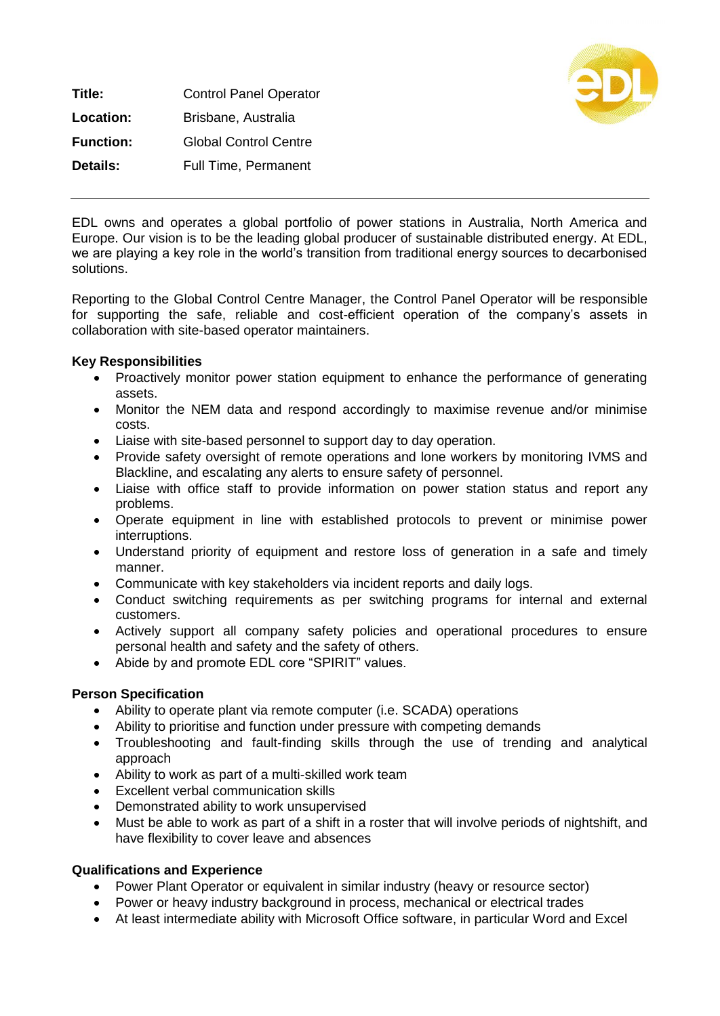**Title:** Control Panel Operator **Location:** Brisbane, Australia **Function:** Global Control Centre **Details:** Full Time, Permanent



EDL owns and operates a global portfolio of power stations in Australia, North America and Europe. Our vision is to be the leading global producer of sustainable distributed energy. At EDL, we are playing a key role in the world's transition from traditional energy sources to decarbonised solutions.

Reporting to the Global Control Centre Manager, the Control Panel Operator will be responsible for supporting the safe, reliable and cost-efficient operation of the company's assets in collaboration with site-based operator maintainers.

## **Key Responsibilities**

- Proactively monitor power station equipment to enhance the performance of generating assets.
- Monitor the NEM data and respond accordingly to maximise revenue and/or minimise costs.
- Liaise with site-based personnel to support day to day operation.
- Provide safety oversight of remote operations and lone workers by monitoring IVMS and Blackline, and escalating any alerts to ensure safety of personnel.
- Liaise with office staff to provide information on power station status and report any problems.
- Operate equipment in line with established protocols to prevent or minimise power interruptions.
- Understand priority of equipment and restore loss of generation in a safe and timely manner.
- Communicate with key stakeholders via incident reports and daily logs.
- Conduct switching requirements as per switching programs for internal and external customers.
- Actively support all company safety policies and operational procedures to ensure personal health and safety and the safety of others.
- Abide by and promote EDL core "SPIRIT" values.

## **Person Specification**

- Ability to operate plant via remote computer (i.e. SCADA) operations
- Ability to prioritise and function under pressure with competing demands
- Troubleshooting and fault-finding skills through the use of trending and analytical approach
- Ability to work as part of a multi-skilled work team
- Excellent verbal communication skills
- Demonstrated ability to work unsupervised
- Must be able to work as part of a shift in a roster that will involve periods of nightshift, and have flexibility to cover leave and absences

## **Qualifications and Experience**

- Power Plant Operator or equivalent in similar industry (heavy or resource sector)
- Power or heavy industry background in process, mechanical or electrical trades
- At least intermediate ability with Microsoft Office software, in particular Word and Excel